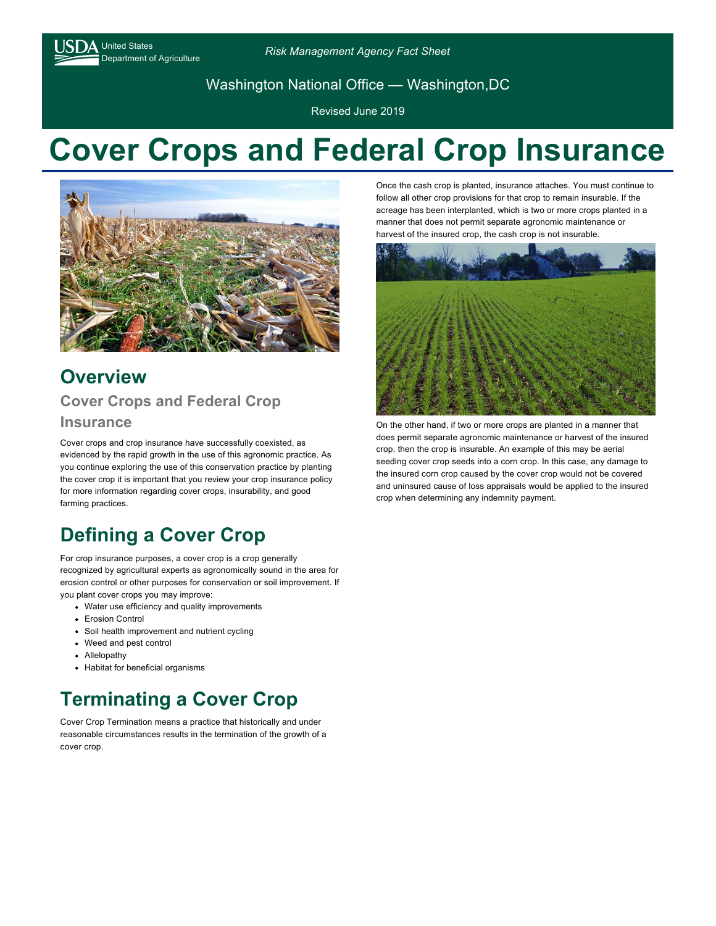$\Delta$  United States

Department of Agriculture *Risk Management Agency Fact Sheet*

Washington National Office — Washington,DC

Revised June 2019

# **Cover Crops and Federal Crop Insurance**



## **Overview Cover Crops and Federal Crop**

#### **Insurance**

Cover crops and crop insurance have successfully coexisted, as evidenced by the rapid growth in the use of this agronomic practice. As you continue exploring the use of this conservation practice by planting the cover crop it is important that you review your crop insurance policy for more information regarding cover crops, insurability, and good farming practices.

# **Defining a Cover Crop**

For crop insurance purposes, a cover crop is a crop generally recognized by agricultural experts as agronomically sound in the area for erosion control or other purposes for conservation or soil improvement. If you plant cover crops you may improve:

- Water use efficiency and quality improvements
- **•** Erosion Control
- Soil health improvement and nutrient cycling
- Weed and pest control
- Allelopathy
- Habitat for beneficial organisms

## **Terminating a Cover Crop**

Cover Crop Termination means a practice that historically and under reasonable circumstances results in the termination of the growth of a cover crop.

Once the cash crop is planted, insurance attaches. You must continue to follow all other crop provisions for that crop to remain insurable. If the acreage has been interplanted, which is two or more crops planted in a manner that does not permit separate agronomic maintenance or harvest of the insured crop, the cash crop is not insurable.



On the other hand, if two or more crops are planted in a manner that does permit separate agronomic maintenance or harvest of the insured crop, then the crop is insurable. An example of this may be aerial seeding cover crop seeds into a corn crop. In this case, any damage to the insured corn crop caused by the cover crop would not be covered and uninsured cause of loss appraisals would be applied to the insured crop when determining any indemnity payment.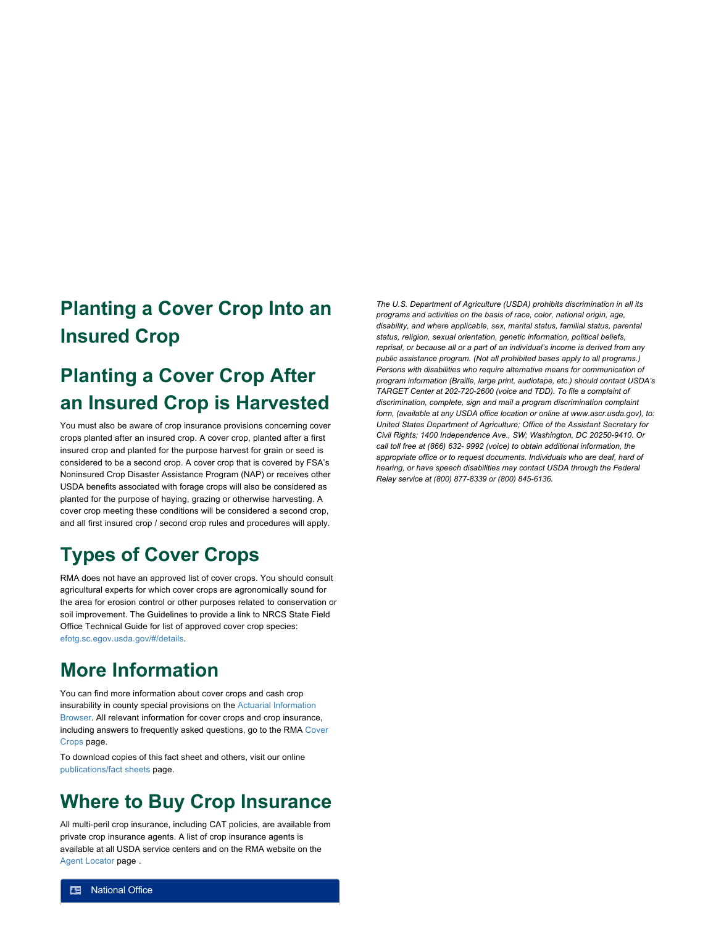#### **Planting a Cover Crop Into an Insured Crop**

## **Planting a Cover Crop After an Insured Crop is Harvested**

You must also be aware of crop insurance provisions concerning cover crops planted after an insured crop. A cover crop, planted after a first insured crop and planted for the purpose harvest for grain or seed is considered to be a second crop. A cover crop that is covered by FSA's Noninsured Crop Disaster Assistance Program (NAP) or receives other USDA benefits associated with forage crops will also be considered as planted for the purpose of haying, grazing or otherwise harvesting. A cover crop meeting these conditions will be considered a second crop, and all first insured crop / second crop rules and procedures will apply.

## **Types of Cover Crops**

RMA does not have an approved list of cover crops. You should consult agricultural experts for which cover crops are agronomically sound for the area for erosion control or other purposes related to conservation or soil improvement. The Guidelines to provide a link to NRCS State Field Office Technical Guide for list of approved cover crop species: [efotg.sc.egov.usda.gov/#/details](https://efotg.sc.egov.usda.gov/#/details).

#### **More Information**

You can find more information about cover crops and cash crop [insurability in county special provisions on the Actuarial Information](https://webapp.rma.usda.gov/apps/actuarialinformationbrowser/) Browser. All relevant information for cover crops and crop insurance, [including answers to frequently asked questions, go to the RMA Cover](https://rma.usda.gov/en/Topics/Cover-Crops) Crops page.

To download copies of this fact sheet and others, visit our online [publications/fact sheets](https://rma.usda.gov/en/Topics/National-Fact-Sheets) page.

#### **Where to Buy Crop Insurance**

All multi-peril crop insurance, including CAT policies, are available from private crop insurance agents. A list of crop insurance agents is available at all USDA service centers and on the RMA website on the [Agent Locator](https://rma.usda.gov/en/Information-Tools/Agent-Locator-Page) page .

*The U.S. Department of Agriculture (USDA) prohibits discrimination in all its programs and activities on the basis of race, color, national origin, age, disability, and where applicable, sex, marital status, familial status, parental status, religion, sexual orientation, genetic information, political beliefs, reprisal, or because all or a part of an individual's income is derived from any public assistance program. (Not all prohibited bases apply to all programs.) Persons with disabilities who require alternative means for communication of program information (Braille, large print, audiotape, etc.) should contact USDA's TARGET Center at 202-720-2600 (voice and TDD). To file a complaint of discrimination, complete, sign and mail a program discrimination complaint form, (available at any USDA office location or online at www.ascr.usda.gov), to: United States Department of Agriculture; Office of the Assistant Secretary for Civil Rights; 1400 Independence Ave., SW; Washington, DC 20250-9410. Or call toll free at (866) 632- 9992 (voice) to obtain additional information, the appropriate office or to request documents. Individuals who are deaf, hard of hearing, or have speech disabilities may contact USDA through the Federal Relay service at (800) 877-8339 or (800) 845-6136.*